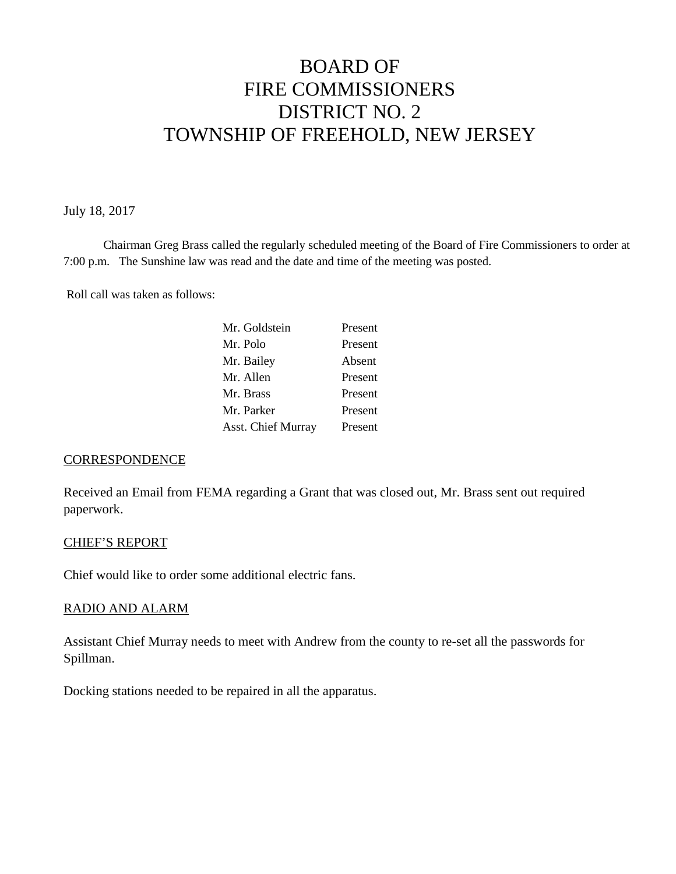# BOARD OF FIRE COMMISSIONERS DISTRICT NO. 2 TOWNSHIP OF FREEHOLD, NEW JERSEY

July 18, 2017

Chairman Greg Brass called the regularly scheduled meeting of the Board of Fire Commissioners to order at 7:00 p.m. The Sunshine law was read and the date and time of the meeting was posted.

Roll call was taken as follows:

| Mr. Goldstein      | Present |
|--------------------|---------|
| Mr. Polo           | Present |
| Mr. Bailey         | Absent  |
| Mr. Allen          | Present |
| Mr. Brass          | Present |
| Mr. Parker         | Present |
| Asst. Chief Murray | Present |

## **CORRESPONDENCE**

Received an Email from FEMA regarding a Grant that was closed out, Mr. Brass sent out required paperwork.

## CHIEF'S REPORT

Chief would like to order some additional electric fans.

## RADIO AND ALARM

Assistant Chief Murray needs to meet with Andrew from the county to re-set all the passwords for Spillman.

Docking stations needed to be repaired in all the apparatus.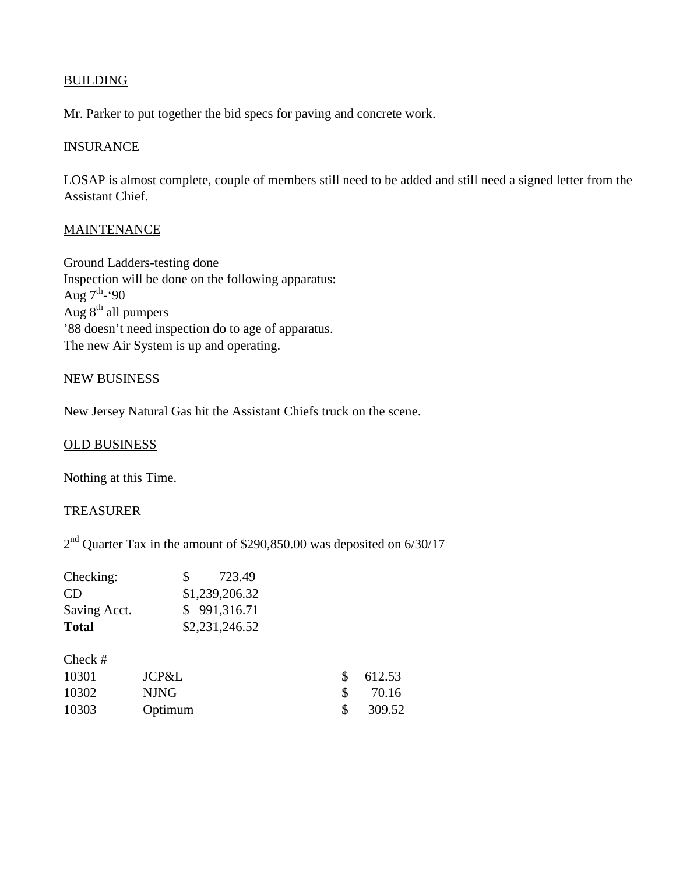# **BUILDING**

Mr. Parker to put together the bid specs for paving and concrete work.

## **INSURANCE**

LOSAP is almost complete, couple of members still need to be added and still need a signed letter from the Assistant Chief.

# **MAINTENANCE**

Ground Ladders-testing done Inspection will be done on the following apparatus: Aug 7<sup>th</sup>-'90 Aug 8<sup>th</sup> all pumpers '88 doesn't need inspection do to age of apparatus. The new Air System is up and operating.

## NEW BUSINESS

New Jersey Natural Gas hit the Assistant Chiefs truck on the scene.

## OLD BUSINESS

Nothing at this Time.

## TREASURER

2<sup>nd</sup> Quarter Tax in the amount of \$290,850.00 was deposited on 6/30/17

| Checking:    | 723.49<br>SS.  |
|--------------|----------------|
| CD           | \$1,239,206.32 |
| Saving Acct. | \$991,316.71   |
| <b>Total</b> | \$2,231,246.52 |

| Check # |         |              |          |
|---------|---------|--------------|----------|
| 10301   | JCP&L   |              | \$612.53 |
| 10302   | NJNG    | $\mathbf{s}$ | 70.16    |
| 10303   | Optimum | <sup>S</sup> | 309.52   |